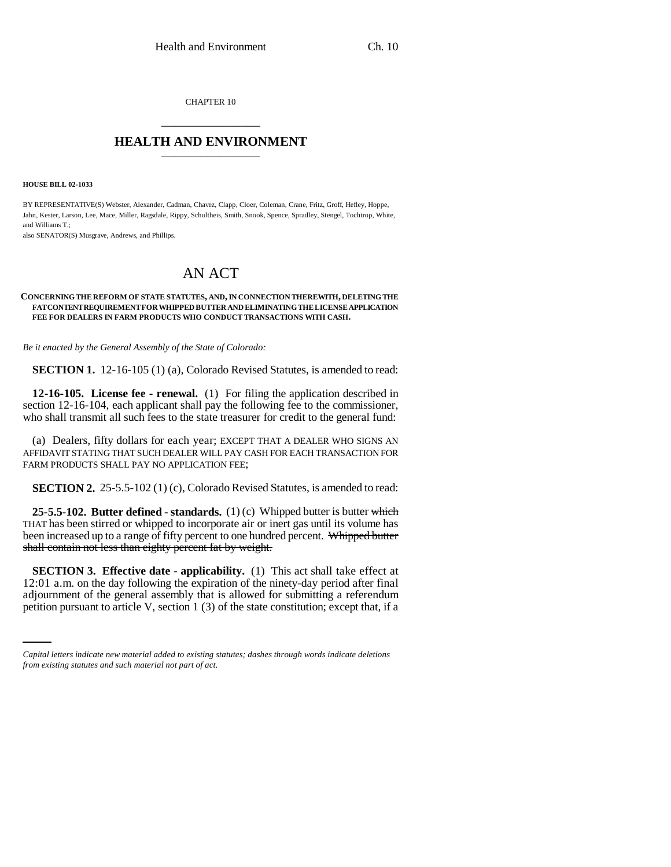CHAPTER 10 \_\_\_\_\_\_\_\_\_\_\_\_\_\_\_

## **HEALTH AND ENVIRONMENT** \_\_\_\_\_\_\_\_\_\_\_\_\_\_\_

**HOUSE BILL 02-1033**

BY REPRESENTATIVE(S) Webster, Alexander, Cadman, Chavez, Clapp, Cloer, Coleman, Crane, Fritz, Groff, Hefley, Hoppe, Jahn, Kester, Larson, Lee, Mace, Miller, Ragsdale, Rippy, Schultheis, Smith, Snook, Spence, Spradley, Stengel, Tochtrop, White, and Williams T.;

also SENATOR(S) Musgrave, Andrews, and Phillips.

## AN ACT

## **CONCERNING THE REFORM OF STATE STATUTES, AND, IN CONNECTION THEREWITH, DELETING THE FAT CONTENT REQUIREMENT FOR WHIPPED BUTTER AND ELIMINATING THE LICENSE APPLICATION FEE FOR DEALERS IN FARM PRODUCTS WHO CONDUCT TRANSACTIONS WITH CASH.**

*Be it enacted by the General Assembly of the State of Colorado:*

**SECTION 1.** 12-16-105 (1) (a), Colorado Revised Statutes, is amended to read:

**12-16-105. License fee - renewal.** (1) For filing the application described in section 12-16-104, each applicant shall pay the following fee to the commissioner, who shall transmit all such fees to the state treasurer for credit to the general fund:

(a) Dealers, fifty dollars for each year; EXCEPT THAT A DEALER WHO SIGNS AN AFFIDAVIT STATING THAT SUCH DEALER WILL PAY CASH FOR EACH TRANSACTION FOR FARM PRODUCTS SHALL PAY NO APPLICATION FEE;

**SECTION 2.** 25-5.5-102 (1) (c), Colorado Revised Statutes, is amended to read:

**25-5.5-102. Butter defined - standards.** (1) (c) Whipped butter is butter which THAT has been stirred or whipped to incorporate air or inert gas until its volume has been increased up to a range of fifty percent to one hundred percent. Whipped butter shall contain not less than eighty percent fat by weight.

12:01 a.m. on the day following the expiration of the ninety-day period after final **SECTION 3. Effective date - applicability.** (1) This act shall take effect at adjournment of the general assembly that is allowed for submitting a referendum petition pursuant to article V, section 1 (3) of the state constitution; except that, if a

*Capital letters indicate new material added to existing statutes; dashes through words indicate deletions from existing statutes and such material not part of act.*